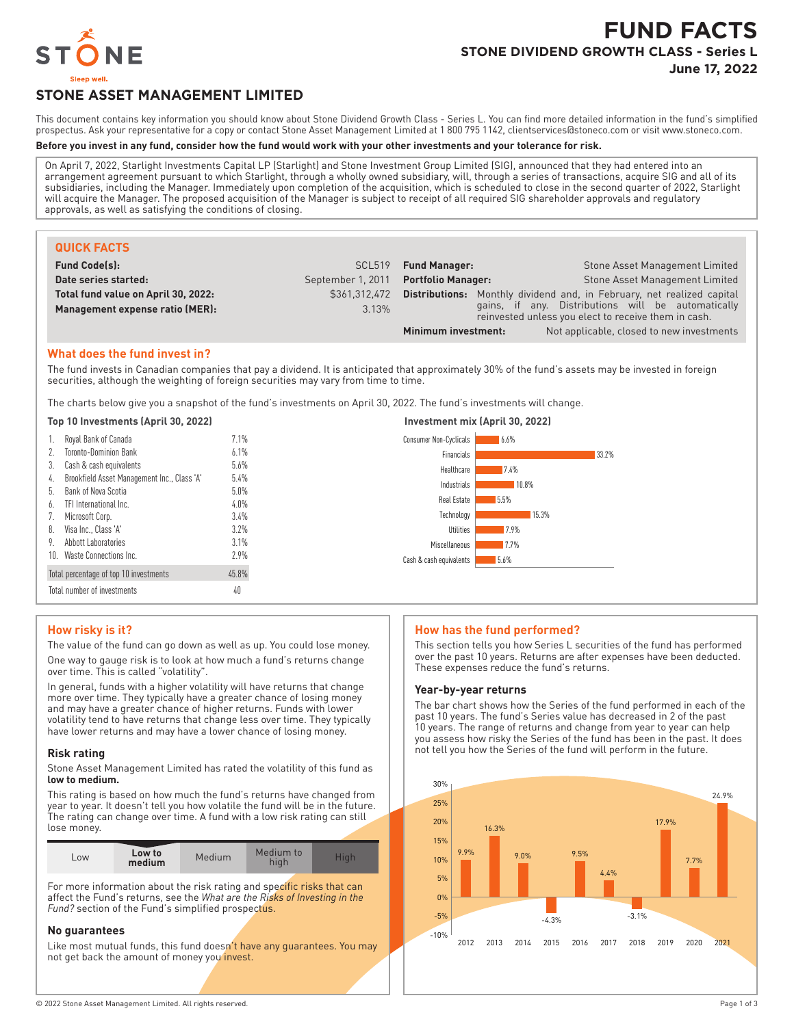

# **FUND FACTS STONE DIVIDEND GROWTH CLASS - Series L**

**June 17, 2022**

# **STONE ASSET MANAGEMENT LIMITED**

This document contains key information you should know about Stone Dividend Growth Class - Series L. You can find more detailed information in the fund's simplified prospectus. Ask your representative for a copy or contact Stone Asset Management Limited at 1 800 795 1142, clientservices@stoneco.com or visit www.stoneco.com.

#### **Before you invest in any fund, consider how the fund would work with your other investments and your tolerance for risk.**

On April 7, 2022, Starlight Investments Capital LP (Starlight) and Stone Investment Group Limited (SIG), announced that they had entered into an arrangement agreement pursuant to which Starlight, through a wholly owned subsidiary, will, through a series of transactions, acquire SIG and all of its subsidiaries, including the Manager. Immediately upon completion of the acquisition, which is scheduled to close in the second quarter of 2022, Starlight will acquire the Manager. The proposed acquisition of the Manager is subject to receipt of all required SIG shareholder approvals and regulatory approvals, as well as satisfying the conditions of closing.

| <b>QUICK FACTS</b>                  |                    |                           |                                                                                                            |
|-------------------------------------|--------------------|---------------------------|------------------------------------------------------------------------------------------------------------|
| <b>Fund Code(s):</b>                | SCL <sub>519</sub> | <b>Fund Manager:</b>      | Stone Asset Management Limited                                                                             |
| Date series started:                | September 1, 2011  | <b>Portfolio Manager:</b> | Stone Asset Management Limited                                                                             |
| Total fund value on April 30, 2022: | \$361,312,472      |                           | <b>Distributions:</b> Monthly dividend and, in February, net realized capital                              |
| Management expense ratio (MER):     | 3.13%              |                           | gains, if any. Distributions will be automatically<br>reinvested unless you elect to receive them in cash. |
|                                     |                    | Minimum investment:       | Not applicable, closed to new investments                                                                  |

#### **What does the fund invest in?**

The fund invests in Canadian companies that pay a dividend. It is anticipated that approximately 30% of the fund's assets may be invested in foreign securities, although the weighting of foreign securities may vary from time to time.

The charts below give you a snapshot of the fund's investments on April 30, 2022. The fund's investments will change.

#### **Top 10 Investments (April 30, 2022) Investment mix (April 30, 2022)**

| Royal Bank of Canada<br><b>Toronto-Dominion Bank</b><br>Cash & cash equivalents<br>3.<br>Brookfield Asset Management Inc., Class 'A'<br>4.<br>Bank of Nova Scotia<br>b.<br>TFI International Inc.<br>6.<br>Microsoft Corp.<br>Visa Inc., Class 'A'<br>8.<br>Abbott Laboratories<br>9. | 7.1%<br>6.1%<br>5.6%<br>5.4%<br>5.0%<br>4.0%<br>3.4%<br>3.2%<br>3.1% | <b>Consumer Non-Cyclicals</b><br>6.6%<br>Financials<br>33.2%<br>7.4%<br>Healthcare<br>Industrials<br>10.8%<br>Real Estate<br>5.5%<br>Technology<br>15.3%<br><b>Utilities</b><br>7.9%<br>17.7%<br>Miscellaneous |
|---------------------------------------------------------------------------------------------------------------------------------------------------------------------------------------------------------------------------------------------------------------------------------------|----------------------------------------------------------------------|----------------------------------------------------------------------------------------------------------------------------------------------------------------------------------------------------------------|
| Waste Connections Inc.<br>10.                                                                                                                                                                                                                                                         | 2.9%                                                                 | Cash & cash equivalents<br>5.6%                                                                                                                                                                                |
| Total percentage of top 10 investments                                                                                                                                                                                                                                                | 45.8%                                                                |                                                                                                                                                                                                                |
| Total number of investments                                                                                                                                                                                                                                                           | 40                                                                   |                                                                                                                                                                                                                |

#### **How risky is it?**

The value of the fund can go down as well as up. You could lose money. One way to gauge risk is to look at how much a fund's returns change over time. This is called "volatility".

In general, funds with a higher volatility will have returns that change more over time. They typically have a greater chance of losing money and may have a greater chance of higher returns. Funds with lower volatility tend to have returns that change less over time. They typically have lower returns and may have a lower chance of losing money.

#### **Risk rating**

Stone Asset Management Limited has rated the volatility of this fund as **low to medium.**

This rating is based on how much the fund's returns have changed from year to year. It doesn't tell you how volatile the fund will be in the future. The rating can change over time. A fund with a low risk rating can still lose money.

| LOW | Low to<br>medium | Medium | Medium to |  |
|-----|------------------|--------|-----------|--|

For more information about the risk rating and specific risks that can affect the Fund's returns, see the *What are the Risks of Investing in the Fund?* section of the Fund's simplified prospectus.

#### **No guarantees**

Like most mutual funds, this fund doesn't have any guarantees. You may not get back the amount of money you invest.

#### **How has the fund performed?**

This section tells you how Series L securities of the fund has performed over the past 10 years. Returns are after expenses have been deducted. These expenses reduce the fund's returns.

#### **Year-by-year returns**

The bar chart shows how the Series of the fund performed in each of the past 10 years. The fund's Series value has decreased in 2 of the past 10 years. The range of returns and change from year to year can help you assess how risky the Series of the fund has been in the past. It does not tell you how the Series of the fund will perform in the future.

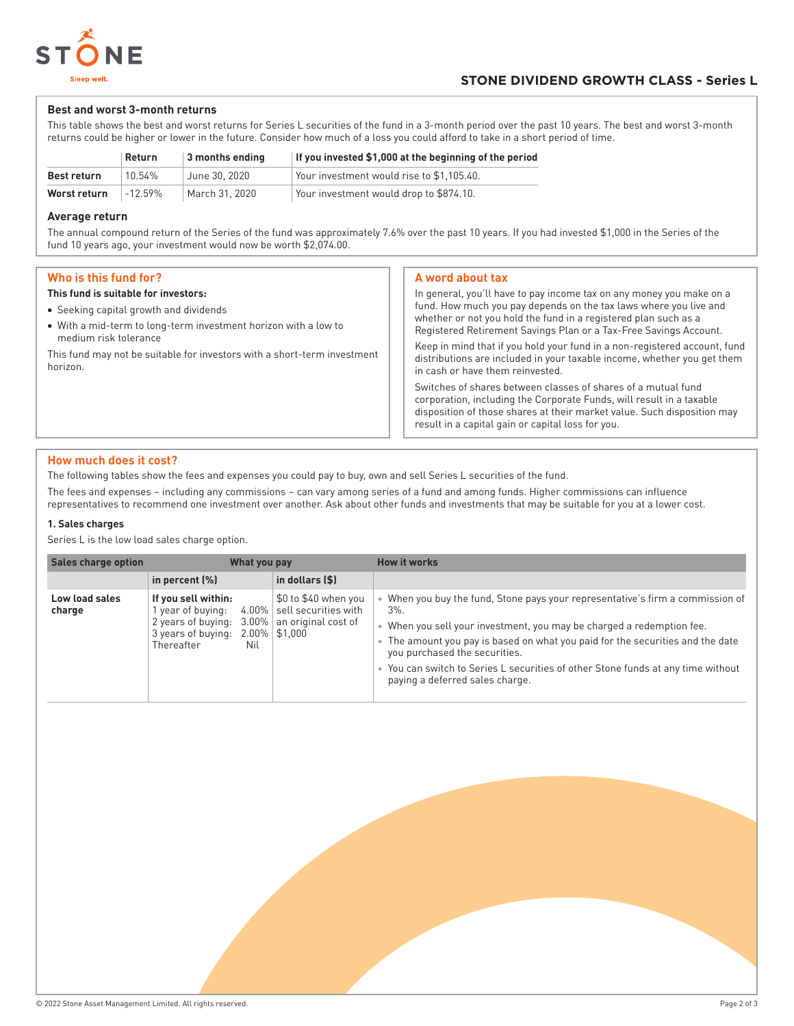

#### **Best and worst 3-month returns**

This table shows the best and worst returns for Series L securities of the fund in a 3-month period over the past 10 years. The best and worst 3-month returns could be higher or lower in the future. Consider how much of a loss you could afford to take in a short period of time.

|                    | Return    | 3 months ending | If you invested \$1,000 at the beginning of the period |
|--------------------|-----------|-----------------|--------------------------------------------------------|
| <b>Best return</b> | 10.54%    | June 30, 2020   | Your investment would rise to \$1.105.40.              |
| Worst return       | $-12.59%$ | March 31, 2020  | Your investment would drop to \$874.10.                |

#### **Average return**

The annual compound return of the Series of the fund was approximately 7.6% over the past 10 years. If you had invested \$1,000 in the Series of the fund 10 years ago, your investment would now be worth \$2,074.00.

### **Who is this fund for?**

#### **This fund is suitable for investors:**

- Seeking capital growth and dividends
- With a mid-term to long-term investment horizon with a low to medium risk tolerance

This fund may not be suitable for investors with a short-term investment horizon.

#### **A word about tax**

In general, you'll have to pay income tax on any money you make on a fund. How much you pay depends on the tax laws where you live and whether or not you hold the fund in a registered plan such as a Registered Retirement Savings Plan or a Tax-Free Savings Account. Keep in mind that if you hold your fund in a non-registered account, fund distributions are included in your taxable income, whether you get them in cash or have them reinvested. Switches of shares between classes of shares of a mutual fund

corporation, including the Corporate Funds, will result in a taxable disposition of those shares at their market value. Such disposition may result in a capital gain or capital loss for you.

#### **How much does it cost?**

The following tables show the fees and expenses you could pay to buy, own and sell Series L securities of the fund.

The fees and expenses – including any commissions – can vary among series of a fund and among funds. Higher commissions can influence representatives to recommend one investment over another. Ask about other funds and investments that may be suitable for you at a lower cost.

#### **1. Sales charges**

Series L is the low load sales charge option.

| <b>Sales charge option</b> |                                                                                                  | What you pay |                                                                                                        | <b>How it works</b>                                                                                                                                                                                                                                                                                                                                                                                    |
|----------------------------|--------------------------------------------------------------------------------------------------|--------------|--------------------------------------------------------------------------------------------------------|--------------------------------------------------------------------------------------------------------------------------------------------------------------------------------------------------------------------------------------------------------------------------------------------------------------------------------------------------------------------------------------------------------|
|                            | in percent $(\%)$                                                                                |              | in dollars (\$)                                                                                        |                                                                                                                                                                                                                                                                                                                                                                                                        |
| Low load sales<br>charge   | If you sell within:<br>year of buying:<br>2 years of buying:<br>3 years of buying:<br>Thereafter | Nil          | \$0 to \$40 when you<br>$4.00\%$ sell securities with<br>3.00% an original cost of<br>$2.00\%$ \$1,000 | When you buy the fund, Stone pays your representative's firm a commission of<br>$3\%$ .<br>When you sell your investment, you may be charged a redemption fee.<br>The amount you pay is based on what you paid for the securities and the date<br>you purchased the securities.<br>• You can switch to Series L securities of other Stone funds at any time without<br>paying a deferred sales charge. |